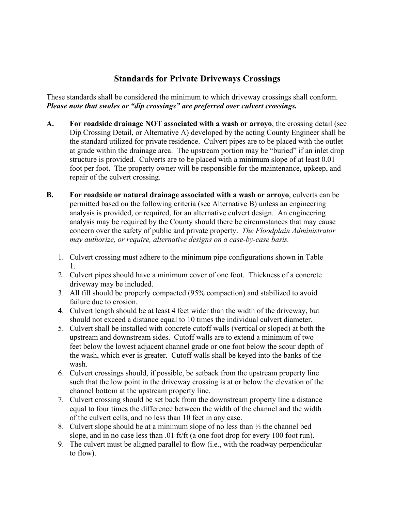## **Standards for Private Driveways Crossings**

These standards shall be considered the minimum to which driveway crossings shall conform. *Please note that swales or "dip crossings" are preferred over culvert crossings.*

- **A. For roadside drainage NOT associated with a wash or arroyo**, the crossing detail (see Dip Crossing Detail, or Alternative A) developed by the acting County Engineer shall be the standard utilized for private residence. Culvert pipes are to be placed with the outlet at grade within the drainage area. The upstream portion may be "buried" if an inlet drop structure is provided. Culverts are to be placed with a minimum slope of at least 0.01 foot per foot. The property owner will be responsible for the maintenance, upkeep, and repair of the culvert crossing.
- **B. For roadside or natural drainage associated with a wash or arroyo**, culverts can be permitted based on the following criteria (see Alternative B) unless an engineering analysis is provided, or required, for an alternative culvert design. An engineering analysis may be required by the County should there be circumstances that may cause concern over the safety of public and private property. *The Floodplain Administrator may authorize, or require, alternative designs on a case-by-case basis.*
	- 1. Culvert crossing must adhere to the minimum pipe configurations shown in Table 1.
	- 2. Culvert pipes should have a minimum cover of one foot. Thickness of a concrete driveway may be included.
	- 3. All fill should be properly compacted (95% compaction) and stabilized to avoid failure due to erosion.
	- 4. Culvert length should be at least 4 feet wider than the width of the driveway, but should not exceed a distance equal to 10 times the individual culvert diameter.
	- 5. Culvert shall be installed with concrete cutoff walls (vertical or sloped) at both the upstream and downstream sides. Cutoff walls are to extend a minimum of two feet below the lowest adjacent channel grade or one foot below the scour depth of the wash, which ever is greater. Cutoff walls shall be keyed into the banks of the wash.
	- 6. Culvert crossings should, if possible, be setback from the upstream property line such that the low point in the driveway crossing is at or below the elevation of the channel bottom at the upstream property line.
	- 7. Culvert crossing should be set back from the downstream property line a distance equal to four times the difference between the width of the channel and the width of the culvert cells, and no less than 10 feet in any case.
	- 8. Culvert slope should be at a minimum slope of no less than  $\frac{1}{2}$  the channel bed slope, and in no case less than .01 ft/ft (a one foot drop for every 100 foot run).
	- 9. The culvert must be aligned parallel to flow (i.e., with the roadway perpendicular to flow).